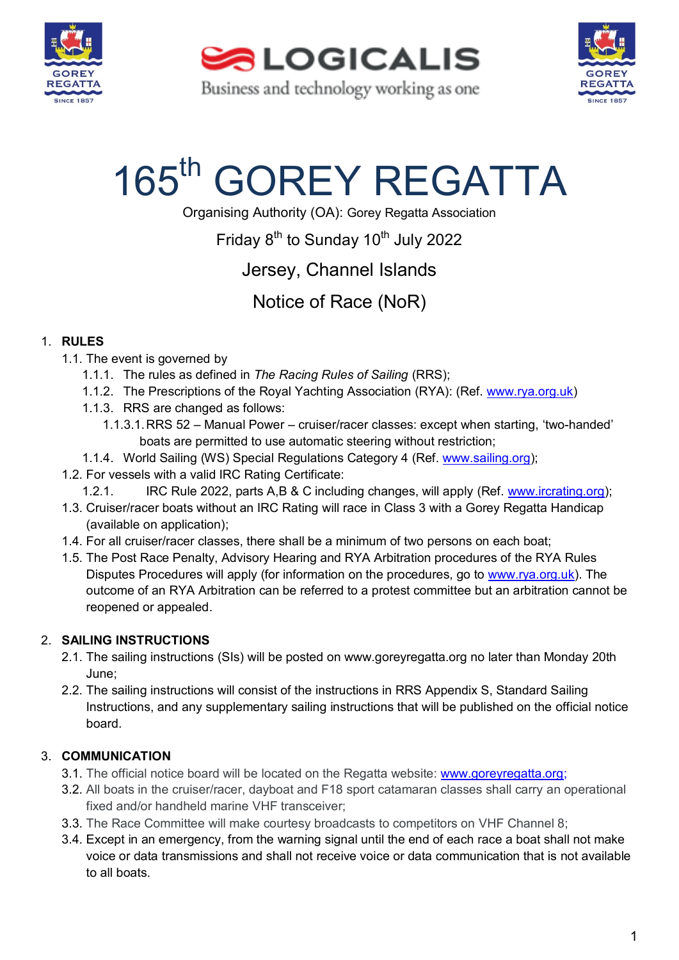

**SALOGICALIS** Business and technology working as one



# 165<sup>th</sup> GOREY REGATTA

Organising Authority (OA): Gorey Regatta Association

Friday 8<sup>th</sup> to Sunday 10<sup>th</sup> July 2022

Jersey, Channel Islands

Notice of Race (NoR)

### 1. **RULES**

- 1.1. The event is governed by
	- 1.1.1. The rules as defined in *The Racing Rules of Sailing* (RRS);
	- 1.1.2. The Prescriptions of the Royal Yachting Association (RYA): (Ref. [www.rya.org.uk\)](http://www.rya.org.uk/)
	- 1.1.3. RRS are changed as follows:
		- 1.1.3.1.RRS 52 Manual Power cruiser/racer classes: except when starting, 'two-handed' boats are permitted to use automatic steering without restriction;
	- 1.1.4. World Sailing (WS) Special Regulations Category 4 (Ref. [www.sailing.org\)](http://www.sailing.org/);
- 1.2. For vessels with a valid IRC Rating Certificate:
	- 1.2.1. IRC Rule 2022, parts A,B & C including changes, will apply (Ref. [www.ircrating.org\)](http://www.ircrating.org/);
- 1.3. Cruiser/racer boats without an IRC Rating will race in Class 3 with a Gorey Regatta Handicap (available on application);
- 1.4. For all cruiser/racer classes, there shall be a minimum of two persons on each boat;
- 1.5. The Post Race Penalty, Advisory Hearing and RYA Arbitration procedures of the RYA Rules Disputes Procedures will apply (for information on the procedures, go to [www.rya.org.uk\)](http://www.rya.org.uk/). The outcome of an RYA Arbitration can be referred to a protest committee but an arbitration cannot be reopened or appealed.

### 2. **SAILING INSTRUCTIONS**

- 2.1. The sailing instructions (SIs) will be posted on www.goreyregatta.org no later than Monday 20th June;
- 2.2. The sailing instructions will consist of the instructions in RRS Appendix S, Standard Sailing Instructions, and any supplementary sailing instructions that will be published on the official notice board.

### 3. **COMMUNICATION**

- 3.1. The official notice board will be located on the Regatta website: [www.goreyregatta.org;](http://www.goreyregatta.org/)
- 3.2. All boats in the cruiser/racer, dayboat and F18 sport catamaran classes shall carry an operational fixed and/or handheld marine VHF transceiver;
- 3.3. The Race Committee will make courtesy broadcasts to competitors on VHF Channel 8;
- 3.4. Except in an emergency, from the warning signal until the end of each race a boat shall not make voice or data transmissions and shall not receive voice or data communication that is not available to all boats.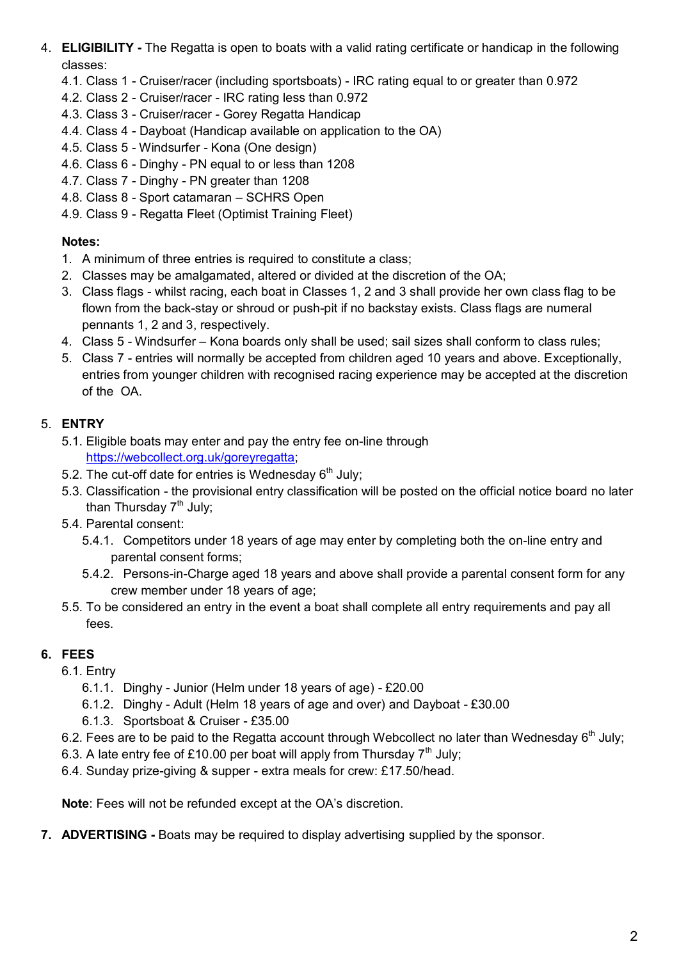- 4. **ELIGIBILITY -** The Regatta is open to boats with a valid rating certificate or handicap in the following classes:
	- 4.1. Class 1 Cruiser/racer (including sportsboats) IRC rating equal to or greater than 0.972
	- 4.2. Class 2 Cruiser/racer IRC rating less than 0.972
	- 4.3. Class 3 Cruiser/racer Gorey Regatta Handicap
	- 4.4. Class 4 Dayboat (Handicap available on application to the OA)
	- 4.5. Class 5 Windsurfer Kona (One design)
	- 4.6. Class 6 Dinghy PN equal to or less than 1208
	- 4.7. Class 7 Dinghy PN greater than 1208
	- 4.8. Class 8 Sport catamaran SCHRS Open
	- 4.9. Class 9 Regatta Fleet (Optimist Training Fleet)

### **Notes:**

- 1. A minimum of three entries is required to constitute a class;
- 2. Classes may be amalgamated, altered or divided at the discretion of the OA;
- 3. Class flags whilst racing, each boat in Classes 1, 2 and 3 shall provide her own class flag to be flown from the back-stay or shroud or push-pit if no backstay exists. Class flags are numeral pennants 1, 2 and 3, respectively.
- 4. Class 5 Windsurfer Kona boards only shall be used; sail sizes shall conform to class rules;
- 5. Class 7 entries will normally be accepted from children aged 10 years and above. Exceptionally, entries from younger children with recognised racing experience may be accepted at the discretion of the OA.

### 5. **ENTRY**

- 5.1. Eligible boats may enter and pay the entry fee on-line through [https://webcollect.org.uk/goreyregatta;](https://webcollect.org.uk/goreyregatta)
- 5.2. The cut-off date for entries is Wednesday  $6<sup>th</sup>$  July;
- 5.3. Classification the provisional entry classification will be posted on the official notice board no later than Thursday 7<sup>th</sup> July;
- 5.4. Parental consent:
	- 5.4.1. Competitors under 18 years of age may enter by completing both the on-line entry and parental consent forms;
	- 5.4.2. Persons-in-Charge aged 18 years and above shall provide a parental consent form for any crew member under 18 years of age;
- 5.5. To be considered an entry in the event a boat shall complete all entry requirements and pay all fees.

### **6. FEES**

6.1. Entry

- 6.1.1. Dinghy Junior (Helm under 18 years of age) £20.00
- 6.1.2. Dinghy Adult (Helm 18 years of age and over) and Dayboat £30.00
- 6.1.3. Sportsboat & Cruiser £35.00
- 6.2. Fees are to be paid to the Regatta account through Webcollect no later than Wednesday 6<sup>th</sup> July;
- 6.3. A late entry fee of £10.00 per boat will apply from Thursday  $7<sup>th</sup>$  July;
- 6.4. Sunday prize-giving & supper extra meals for crew: £17.50/head.

**Note**: Fees will not be refunded except at the OA's discretion.

**7. ADVERTISING -** Boats may be required to display advertising supplied by the sponsor.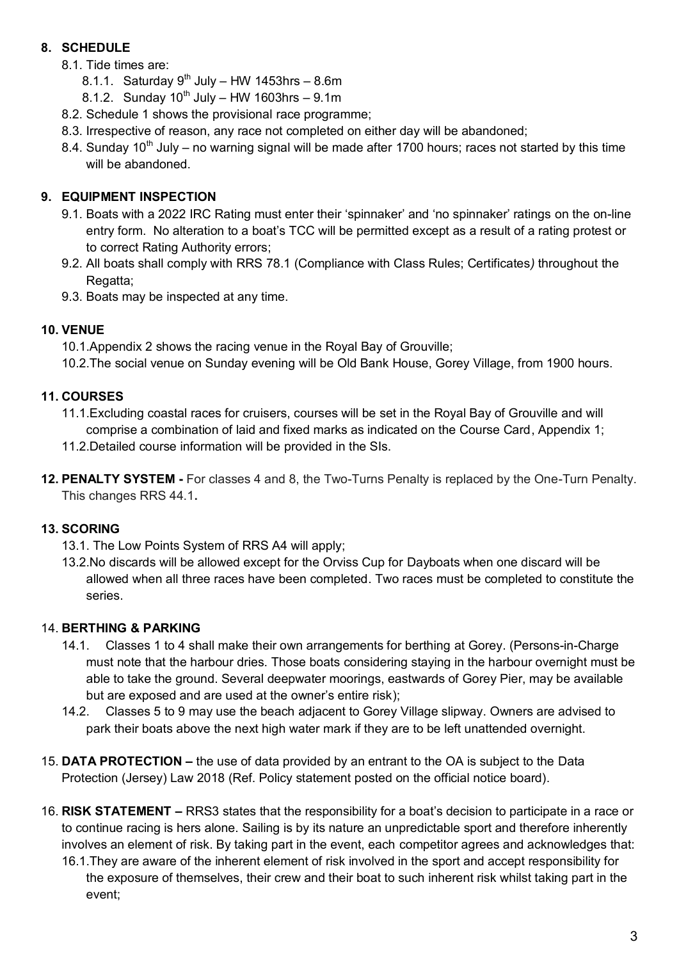### **8. SCHEDULE**

- 8.1. Tide times are:
	- 8.1.1. Saturday  $9<sup>th</sup>$  July HW 1453hrs 8.6m
	- 8.1.2. Sunday  $10^{th}$  July HW 1603hrs 9.1m
- 8.2. Schedule 1 shows the provisional race programme;
- 8.3. Irrespective of reason, any race not completed on either day will be abandoned;
- 8.4. Sunday 10<sup>th</sup> July no warning signal will be made after 1700 hours; races not started by this time will be abandoned.

### **9. EQUIPMENT INSPECTION**

- 9.1. Boats with a 2022 IRC Rating must enter their 'spinnaker' and 'no spinnaker' ratings on the on-line entry form. No alteration to a boat's TCC will be permitted except as a result of a rating protest or to correct Rating Authority errors;
- 9.2. All boats shall comply with RRS 78.1 (Compliance with Class Rules; Certificates*)* throughout the Regatta;
- 9.3. Boats may be inspected at any time.

### **10. VENUE**

10.1.Appendix 2 shows the racing venue in the Royal Bay of Grouville;

10.2.The social venue on Sunday evening will be Old Bank House, Gorey Village, from 1900 hours.

### **11. COURSES**

11.1.Excluding coastal races for cruisers, courses will be set in the Royal Bay of Grouville and will comprise a combination of laid and fixed marks as indicated on the Course Card, Appendix 1;

- 11.2.Detailed course information will be provided in the SIs.
- **12. PENALTY SYSTEM -** For classes 4 and 8, the Two-Turns Penalty is replaced by the One-Turn Penalty. This changes RRS 44.1**.**

### **13. SCORING**

- 13.1. The Low Points System of RRS A4 will apply;
- 13.2.No discards will be allowed except for the Orviss Cup for Dayboats when one discard will be allowed when all three races have been completed. Two races must be completed to constitute the series.

### 14. **BERTHING & PARKING**

- 14.1. Classes 1 to 4 shall make their own arrangements for berthing at Gorey. (Persons-in-Charge must note that the harbour dries. Those boats considering staying in the harbour overnight must be able to take the ground. Several deepwater moorings, eastwards of Gorey Pier, may be available but are exposed and are used at the owner's entire risk);
- 14.2. Classes 5 to 9 may use the beach adjacent to Gorey Village slipway. Owners are advised to park their boats above the next high water mark if they are to be left unattended overnight.
- 15. **DATA PROTECTION –** the use of data provided by an entrant to the OA is subject to the Data Protection (Jersey) Law 2018 (Ref. Policy statement posted on the official notice board).
- 16. **RISK STATEMENT –** RRS3 states that the responsibility for a boat's decision to participate in a race or to continue racing is hers alone. Sailing is by its nature an unpredictable sport and therefore inherently involves an element of risk. By taking part in the event, each competitor agrees and acknowledges that:
	- 16.1.They are aware of the inherent element of risk involved in the sport and accept responsibility for the exposure of themselves, their crew and their boat to such inherent risk whilst taking part in the event;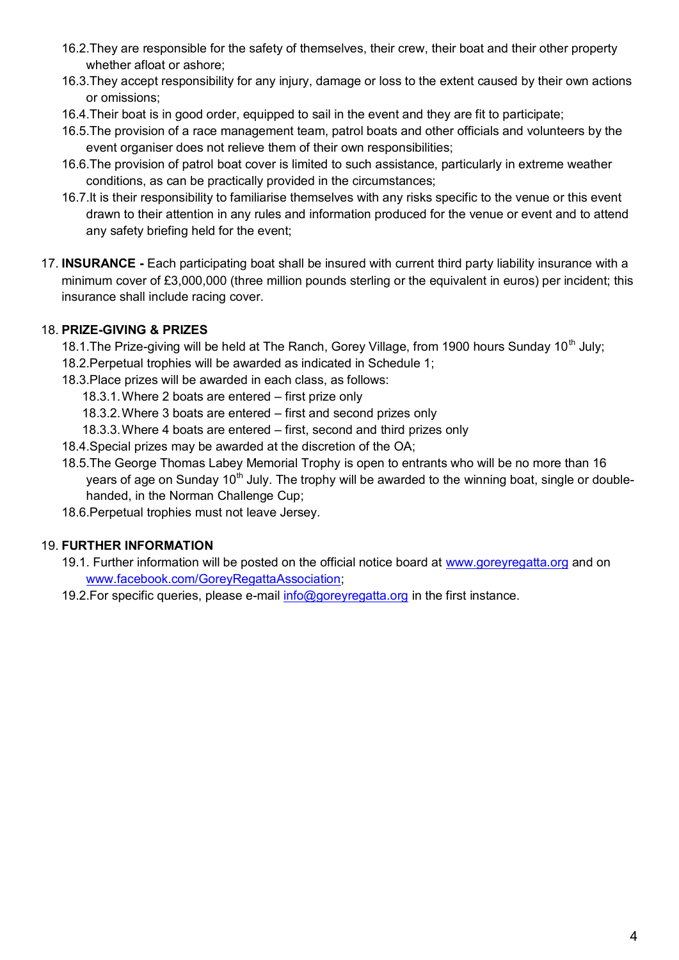- 16.2.They are responsible for the safety of themselves, their crew, their boat and their other property whether afloat or ashore;
- 16.3.They accept responsibility for any injury, damage or loss to the extent caused by their own actions or omissions;
- 16.4.Their boat is in good order, equipped to sail in the event and they are fit to participate;
- 16.5.The provision of a race management team, patrol boats and other officials and volunteers by the event organiser does not relieve them of their own responsibilities;
- 16.6.The provision of patrol boat cover is limited to such assistance, particularly in extreme weather conditions, as can be practically provided in the circumstances;
- 16.7.It is their responsibility to familiarise themselves with any risks specific to the venue or this event drawn to their attention in any rules and information produced for the venue or event and to attend any safety briefing held for the event;
- 17. **INSURANCE -** Each participating boat shall be insured with current third party liability insurance with a minimum cover of £3,000,000 (three million pounds sterling or the equivalent in euros) per incident; this insurance shall include racing cover.

#### 18. **PRIZE-GIVING & PRIZES**

18.1. The Prize-giving will be held at The Ranch, Gorey Village, from 1900 hours Sunday 10<sup>th</sup> July;

- 18.2.Perpetual trophies will be awarded as indicated in Schedule 1;
- 18.3.Place prizes will be awarded in each class, as follows:

18.3.1.Where 2 boats are entered – first prize only

- 18.3.2.Where 3 boats are entered first and second prizes only
- 18.3.3.Where 4 boats are entered first, second and third prizes only
- 18.4.Special prizes may be awarded at the discretion of the OA;
- 18.5.The George Thomas Labey Memorial Trophy is open to entrants who will be no more than 16 years of age on Sunday 10<sup>th</sup> July. The trophy will be awarded to the winning boat, single or doublehanded, in the Norman Challenge Cup;
- 18.6.Perpetual trophies must not leave Jersey.

#### 19. **FURTHER INFORMATION**

- 19.1. Further information will be posted on the official notice board at [www.goreyregatta.org](http://www.goreyregatta.org/) and on [www.facebook.com/GoreyRegattaAssociation;](http://www.facebook.com/GoreyRegattaAssociation)
- 19.2. For specific queries, please e-mail [info@goreyregatta.org](mailto:info@goreyregatta.org) in the first instance.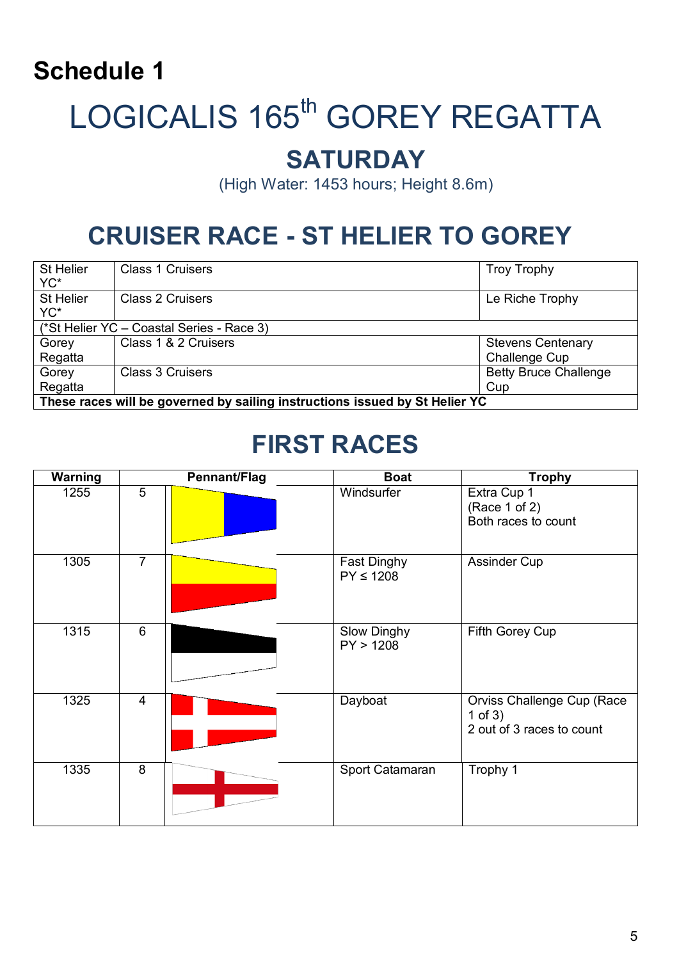## **Schedule 1**

## LOGICALIS 165<sup>th</sup> GOREY REGATTA

### **SATURDAY**

(High Water: 1453 hours; Height 8.6m)

## **CRUISER RACE - ST HELIER TO GOREY**

| St Helier<br>YC*                                                            | <b>Class 1 Cruisers</b> | <b>Troy Trophy</b>           |  |  |
|-----------------------------------------------------------------------------|-------------------------|------------------------------|--|--|
| St Helier<br>YC*                                                            | <b>Class 2 Cruisers</b> | Le Riche Trophy              |  |  |
| (*St Helier YC - Coastal Series - Race 3)                                   |                         |                              |  |  |
| Gorey                                                                       | Class 1 & 2 Cruisers    | <b>Stevens Centenary</b>     |  |  |
| Regatta                                                                     |                         | <b>Challenge Cup</b>         |  |  |
| Gorey                                                                       | <b>Class 3 Cruisers</b> | <b>Betty Bruce Challenge</b> |  |  |
| Regatta                                                                     |                         | Cup                          |  |  |
| These races will be governed by sailing instructions issued by St Helier YC |                         |                              |  |  |

## **FIRST RACES**

| <b>Warning</b> |                | Pennant/Flag | <b>Boat</b>                     | <b>Trophy</b>                                                        |
|----------------|----------------|--------------|---------------------------------|----------------------------------------------------------------------|
| 1255           | 5              |              | Windsurfer                      | Extra Cup 1<br>(Race 1 of 2)<br>Both races to count                  |
| 1305           | $\overline{7}$ |              | Fast Dinghy<br>$PY \leq 1208$   | Assinder Cup                                                         |
| 1315           | $\overline{6}$ |              | <b>Slow Dinghy</b><br>PY > 1208 | Fifth Gorey Cup                                                      |
| 1325           | $\overline{4}$ |              | Dayboat                         | Orviss Challenge Cup (Race<br>1 of $3)$<br>2 out of 3 races to count |
| 1335           | $\overline{8}$ |              | Sport Catamaran                 | Trophy 1                                                             |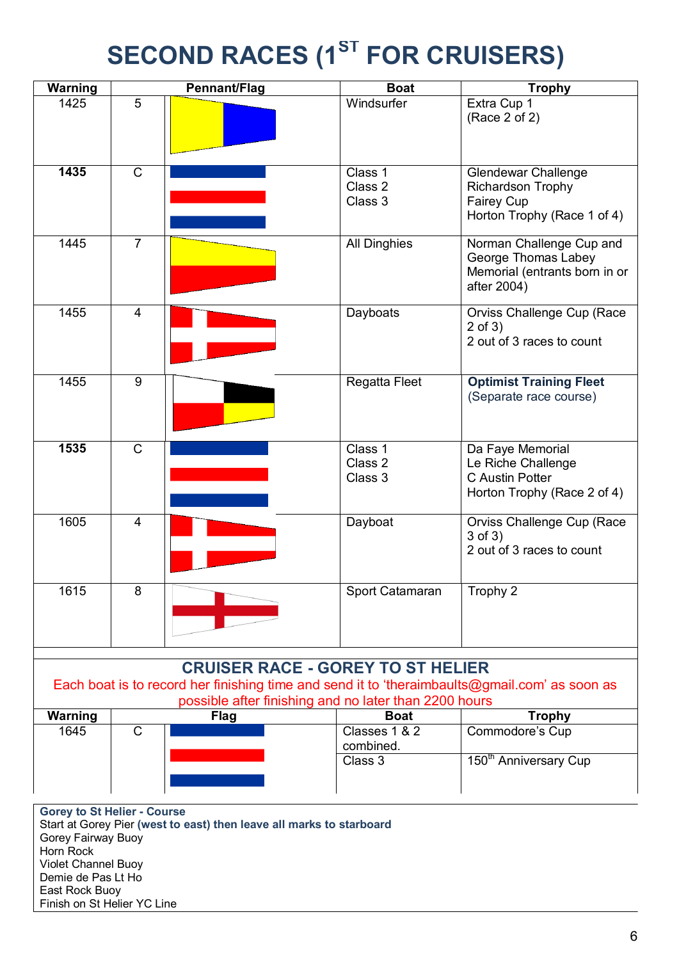## **SECOND RACES (1ST FOR CRUISERS)**

| Warning                                                                                                                                                |                | <b>Pennant/Flag</b> | <b>Boat</b>                   | <b>Trophy</b>                                                                                   |
|--------------------------------------------------------------------------------------------------------------------------------------------------------|----------------|---------------------|-------------------------------|-------------------------------------------------------------------------------------------------|
| 1425                                                                                                                                                   | 5              |                     | Windsurfer                    | Extra Cup 1<br>(Race 2 of 2)                                                                    |
| 1435                                                                                                                                                   | $\mathsf{C}$   |                     | Class 1<br>Class 2<br>Class 3 | <b>Glendewar Challenge</b><br>Richardson Trophy<br>Fairey Cup<br>Horton Trophy (Race 1 of 4)    |
| 1445                                                                                                                                                   | $\overline{7}$ |                     | <b>All Dinghies</b>           | Norman Challenge Cup and<br>George Thomas Labey<br>Memorial (entrants born in or<br>after 2004) |
| 1455                                                                                                                                                   | 4              |                     | Dayboats                      | Orviss Challenge Cup (Race<br>$2$ of $3)$<br>2 out of 3 races to count                          |
| 1455                                                                                                                                                   | 9              |                     | Regatta Fleet                 | <b>Optimist Training Fleet</b><br>(Separate race course)                                        |
| 1535                                                                                                                                                   | $\mathsf{C}$   |                     | Class 1<br>Class 2<br>Class 3 | Da Faye Memorial<br>Le Riche Challenge<br>C Austin Potter<br>Horton Trophy (Race 2 of 4)        |
| 1605                                                                                                                                                   | $\overline{4}$ |                     | Dayboat                       | Orviss Challenge Cup (Race<br>$3$ of $3)$<br>2 out of 3 races to count                          |
| 1615                                                                                                                                                   | 8              |                     | Sport Catamaran               | Trophy 2                                                                                        |
| <b>CRUISER RACE - GOREY TO ST HELIER</b>                                                                                                               |                |                     |                               |                                                                                                 |
| Each boat is to record her finishing time and send it to 'theraimbaults@gmail.com' as soon as<br>possible after finishing and no later than 2200 hours |                |                     |                               |                                                                                                 |
| Warning                                                                                                                                                |                | <b>Flag</b>         | <b>Boat</b>                   | <b>Trophy</b>                                                                                   |
| 1645                                                                                                                                                   | $\mathsf{C}$   |                     | Classes 1 & 2<br>combined.    | Commodore's Cup                                                                                 |
|                                                                                                                                                        |                |                     | Class 3                       | 150 <sup>th</sup> Anniversary Cup                                                               |

**Gorey to St Helier - Course** Start at Gorey Pier **(west to east) then leave all marks to starboard** Gorey Fairway Buoy Horn Rock Violet Channel Buoy Demie de Pas Lt Ho East Rock Buoy Finish on St Helier YC Line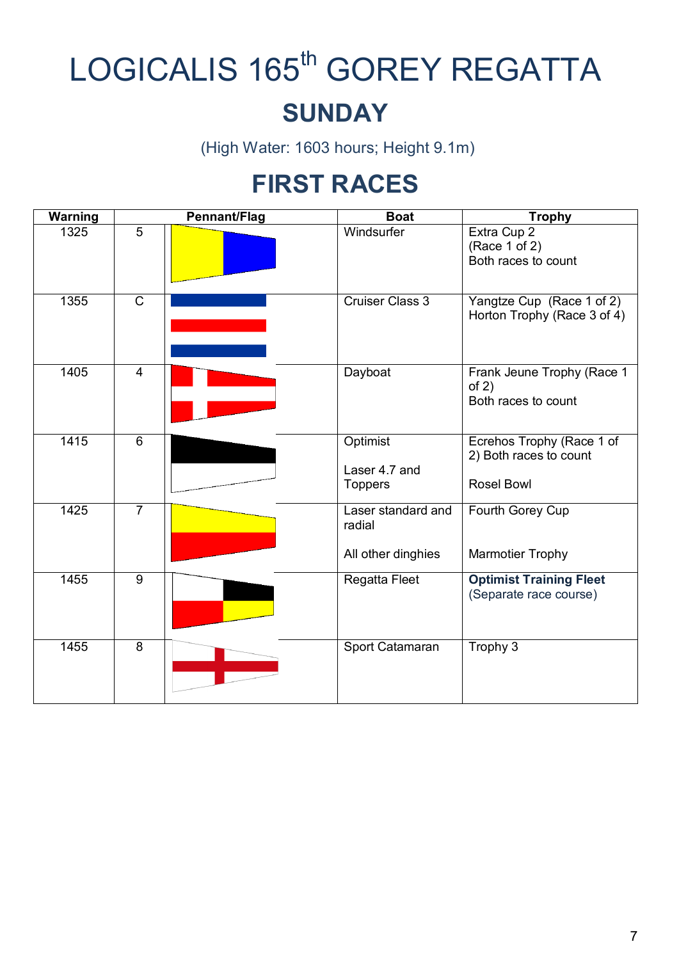## LOGICALIS 165<sup>th</sup> GOREY REGATTA **SUNDAY**

(High Water: 1603 hours; Height 9.1m)

## **FIRST RACES**

| <b>Warning</b>   |                | <b>Pennant/Flag</b> | <b>Boat</b>                                        | <b>Trophy</b>                                                            |
|------------------|----------------|---------------------|----------------------------------------------------|--------------------------------------------------------------------------|
| 1325             | 5              |                     | Windsurfer                                         | Extra Cup 2<br>(Race 1 of 2)<br>Both races to count                      |
| 1355             | $\mathsf{C}$   |                     | <b>Cruiser Class 3</b>                             | Yangtze Cup (Race 1 of 2)<br>Horton Trophy (Race 3 of 4)                 |
| 1405             | $\overline{4}$ |                     | Dayboat                                            | Frank Jeune Trophy (Race 1<br>of $2)$<br>Both races to count             |
| 1415             | 6              |                     | Optimist<br>Laser 4.7 and<br><b>Toppers</b>        | Ecrehos Trophy (Race 1 of<br>2) Both races to count<br><b>Rosel Bowl</b> |
| $\frac{1}{1425}$ | $\overline{7}$ |                     | Laser standard and<br>radial<br>All other dinghies | Fourth Gorey Cup<br><b>Marmotier Trophy</b>                              |
| 1455             | 9              |                     | Regatta Fleet                                      | <b>Optimist Training Fleet</b><br>(Separate race course)                 |
| 1455             | 8              |                     | Sport Catamaran                                    | Trophy 3                                                                 |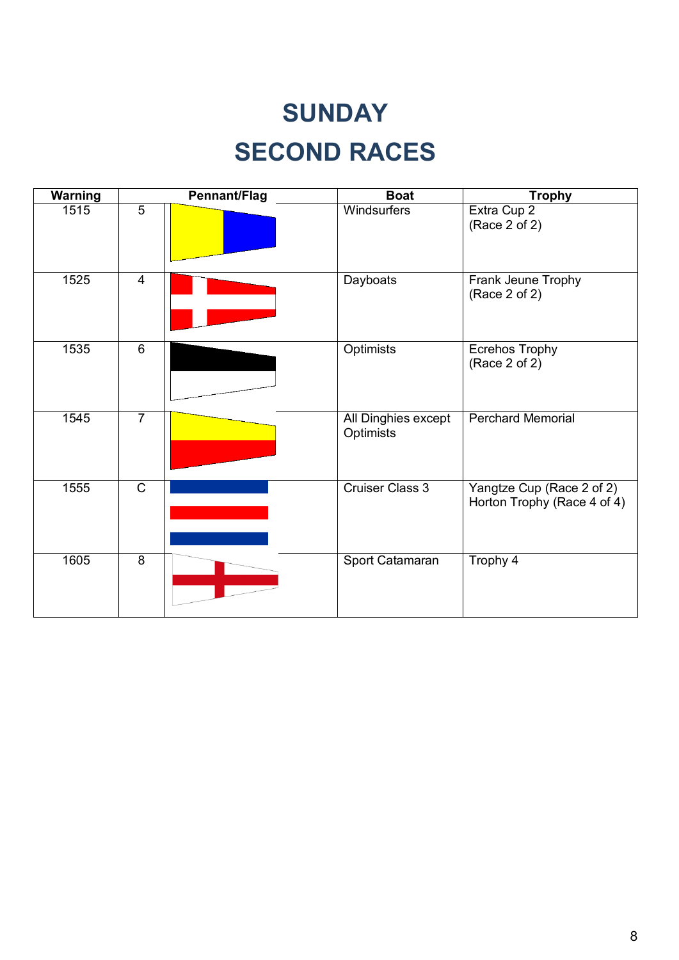## **SUNDAY SECOND RACES**

| <b>Warning</b> |                | <b>Pennant/Flag</b> | <b>Boat</b>                      | <b>Trophy</b>                                            |
|----------------|----------------|---------------------|----------------------------------|----------------------------------------------------------|
| 1515           | $\overline{5}$ |                     | Windsurfers                      | Extra Cup 2<br>(Race 2 of 2)                             |
| 1525           | $\overline{4}$ |                     | Dayboats                         | Frank Jeune Trophy<br>(Race 2 of 2)                      |
| 1535           | 6              |                     | Optimists                        | <b>Ecrehos Trophy</b><br>(Race 2 of 2)                   |
| 1545           | $\overline{7}$ |                     | All Dinghies except<br>Optimists | <b>Perchard Memorial</b>                                 |
| 1555           | $\mathsf C$    |                     | <b>Cruiser Class 3</b>           | Yangtze Cup (Race 2 of 2)<br>Horton Trophy (Race 4 of 4) |
| 1605           | $\overline{8}$ |                     | Sport Catamaran                  | Trophy 4                                                 |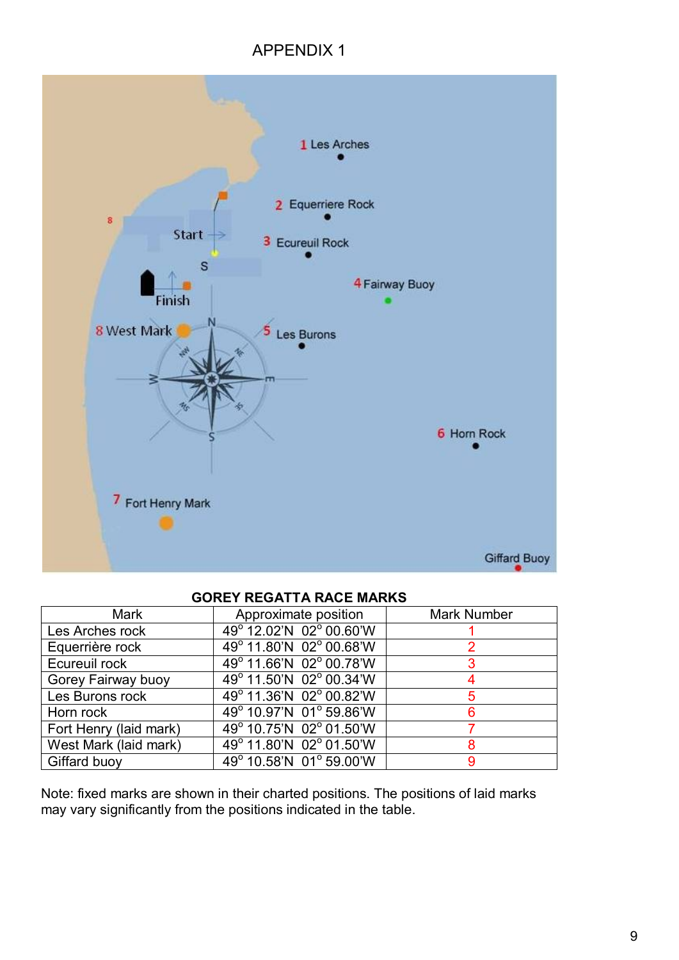### APPENDIX 1



#### **GOREY REGATTA RACE MARKS**

| <b>Mark</b>            | Approximate position    | <b>Mark Number</b> |
|------------------------|-------------------------|--------------------|
| Les Arches rock        | 49° 12.02'N 02° 00.60'W |                    |
| Equerrière rock        | 49° 11.80'N 02° 00.68'W |                    |
| Ecureuil rock          | 49° 11.66'N 02° 00.78'W |                    |
| Gorey Fairway buoy     | 49° 11.50'N 02° 00.34'W |                    |
| Les Burons rock        | 49° 11.36'N 02° 00.82'W |                    |
| Horn rock              | 49° 10.97'N 01° 59.86'W |                    |
| Fort Henry (laid mark) | 49° 10.75'N 02° 01.50'W |                    |
| West Mark (laid mark)  | 49° 11.80'N 02° 01.50'W |                    |
| Giffard buoy           | 49° 10.58'N 01° 59.00'W |                    |

Note: fixed marks are shown in their charted positions. The positions of laid marks may vary significantly from the positions indicated in the table.